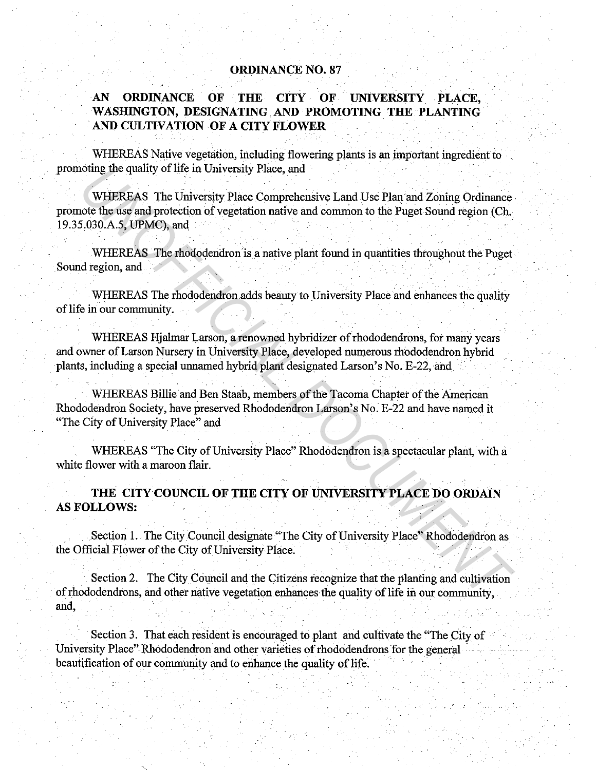## **ORDINANCE NO. 87**

## AN ORDINANCE OF THE CITY OF UNIVERSITY PLACE, **WASHINGTON, DESIGNATING.AND PROMOTING. THE PLANTING**  . **AND CULTIVATION OF A CITY FLOWER**

WHEREAS Native vegetation, including flowering plants is an important ingredient to promoting the quality of life in University Place, and

WHEREAS The University Place Comprehensive Land Use Plan and Zoning Ordinance. promote the use and protection of vegetation native and common to the Puget Sound region (Ch. 19.35,030.A.5, UPMC), and, **IMMURENT CONSTRANT CONSTRANT CONSTRANT CONSTRANT CONSTRANT CONSTRANT CONSTRANT CONSTRANT CONSTRANT CONSTRANT CONSTRANT CONSTRANT CONSTRANT CONSTRANT CONSTRANT CONSTRANT CONSTRANT CONSTRANT CONSTRANT CONSTRANT CONSTRANT CO** 

WHEREAS The rhododendron is a native plant found in quantities throughout the Puget. Sound region, and

. WHEREAS The rhododendron adds beauty to University Place and enhances the quality of life in our community.

WHEREAS Hjalmar Larson; a renowned hybridizer of rhododendrons, for many years and owner of Larson Nursery in University Place, developed numerous rhododendron hybrid plants, including a special unnamed hybrid plant designated Larson's No. E-22, and

WHEREAS Billie and Ben Staab, members of the Tacoma Chapter of the American Rhododendron Society, have preserved Rhododendron Larson's No. E-22 and have named it "The City of University Place" and

. The set of the set of the set of the set of the set of the set of the set of the set of the set of the set of the set of the set of the set of the set of the set of the set of the set of the set of the set of the set of

WHEREAS "The City of University Place" Rhododendron is a spectacular plant, with a white flower with a maroon flair.

**THE CITY COUNCIL OF THE CITY OF UNIVERSITY PLACE DO ORDAlN AS FOLLOWS:** 

.Section 1.. The City Council designate "The City of University Place" Rhododendron as the Official Flower of the City of University Place.

Section 2. The City Council and the Citizens recognize that the planting and cultivation of rhododendrons, and other native vegetation enhances the quality of life in our community, and,

Section 3. That each resident is encouraged to plant and cultivate the "The City of University Place" Rhododendron and other varieties of rhododendrons for the general beautification of our community and to enhance the quality of life.